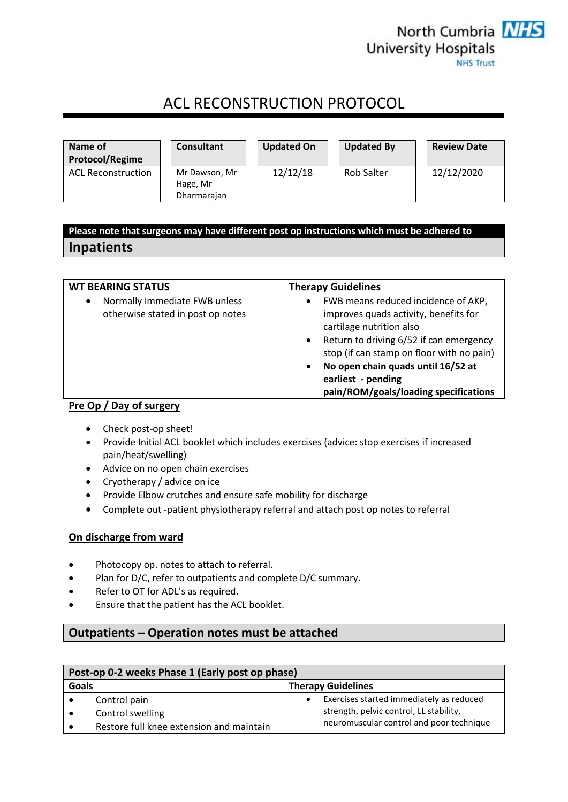

# ACL RECONSTRUCTION PROTOCOL



## **Please note that surgeons may have different post op instructions which must be adhered to Inpatients**

| <b>WT BEARING STATUS</b>                                           | <b>Therapy Guidelines</b>                                                                                                                                                                                                                                                                                                            |  |
|--------------------------------------------------------------------|--------------------------------------------------------------------------------------------------------------------------------------------------------------------------------------------------------------------------------------------------------------------------------------------------------------------------------------|--|
| Normally Immediate FWB unless<br>otherwise stated in post op notes | FWB means reduced incidence of AKP,<br>٠<br>improves quads activity, benefits for<br>cartilage nutrition also<br>Return to driving 6/52 if can emergency<br>$\bullet$<br>stop (if can stamp on floor with no pain)<br>No open chain quads until 16/52 at<br>$\bullet$<br>earliest - pending<br>pain/ROM/goals/loading specifications |  |

### **Pre Op / Day of surgery**

- Check post-op sheet!
- Provide Initial ACL booklet which includes exercises (advice: stop exercises if increased pain/heat/swelling)
- Advice on no open chain exercises
- Cryotherapy / advice on ice
- Provide Elbow crutches and ensure safe mobility for discharge
- Complete out -patient physiotherapy referral and attach post op notes to referral

## **On discharge from ward**

- Photocopy op. notes to attach to referral.
- Plan for D/C, refer to outpatients and complete D/C summary.
- Refer to OT for ADL's as required.
- Ensure that the patient has the ACL booklet.

## **Outpatients – Operation notes must be attached**

| Post-op 0-2 weeks Phase 1 (Early post op phase) |                                          |                                          |                                          |
|-------------------------------------------------|------------------------------------------|------------------------------------------|------------------------------------------|
| Goals                                           |                                          |                                          | <b>Therapy Guidelines</b>                |
|                                                 | Control pain                             |                                          | Exercises started immediately as reduced |
|                                                 | Control swelling                         |                                          | strength, pelvic control, LL stability,  |
|                                                 | Restore full knee extension and maintain | neuromuscular control and poor technique |                                          |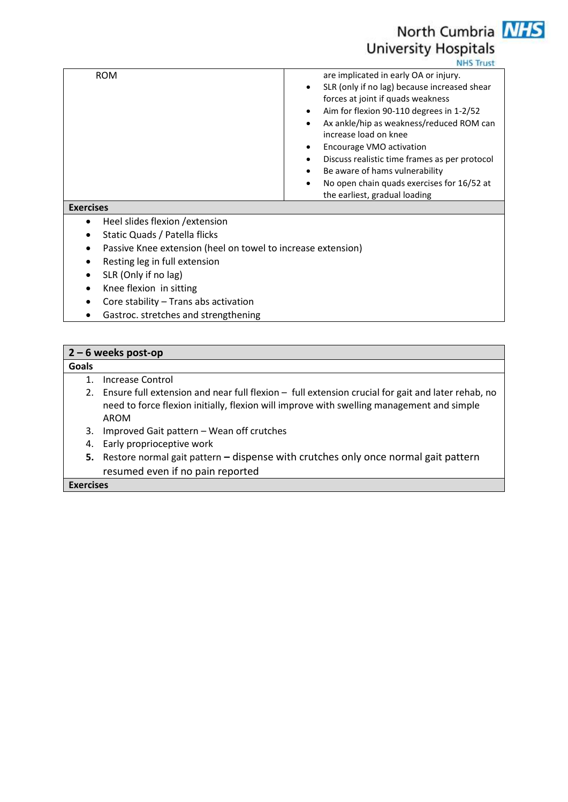# North Cumbria **NHS University Hospitals**

**NHS Trust** 

| <b>ROM</b> | are implicated in early OA or injury.                     |
|------------|-----------------------------------------------------------|
|            | SLR (only if no lag) because increased shear<br>$\bullet$ |
|            | forces at joint if quads weakness                         |
|            | Aim for flexion 90-110 degrees in 1-2/52<br>$\bullet$     |
|            | Ax ankle/hip as weakness/reduced ROM can<br>$\bullet$     |
|            | increase load on knee                                     |
|            | Encourage VMO activation                                  |
|            | Discuss realistic time frames as per protocol             |
|            | Be aware of hams vulnerability<br>$\bullet$               |
|            | No open chain quads exercises for 16/52 at<br>$\bullet$   |
|            | the earliest, gradual loading                             |

### **Exercises**

- Heel slides flexion / extension
- Static Quads / Patella flicks
- Passive Knee extension (heel on towel to increase extension)
- Resting leg in full extension
- SLR (Only if no lag)
- Knee flexion in sitting
- Core stability Trans abs activation
- Gastroc. stretches and strengthening

## **2 – 6 weeks post-op Goals** 1. Increase Control 2. Ensure full extension and near full flexion – full extension crucial for gait and later rehab, no need to force flexion initially, flexion will improve with swelling management and simple AROM 3. Improved Gait pattern – Wean off crutches 4. Early proprioceptive work **5.** Restore normal gait pattern **–** dispense with crutches only once normal gait pattern

resumed even if no pain reported

**Exercises**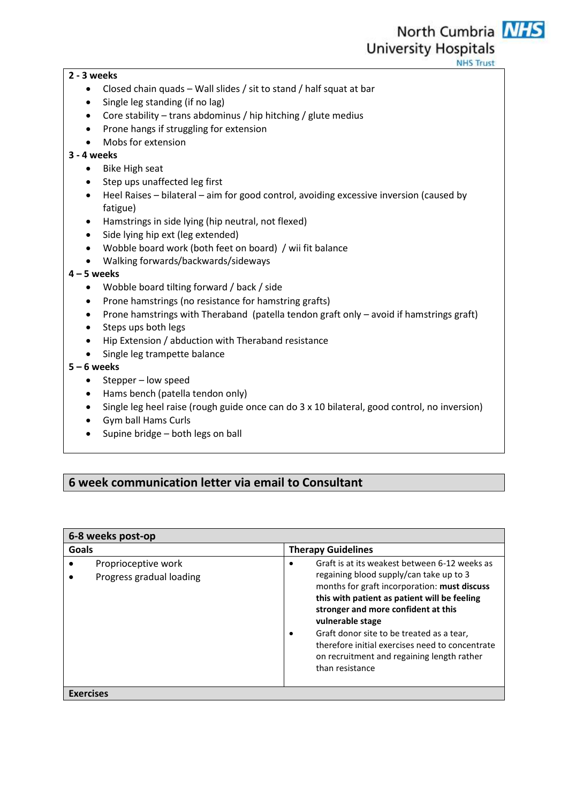**NHS Trust** 

## **2 - 3 weeks**

- Closed chain quads Wall slides / sit to stand / half squat at bar
- Single leg standing (if no lag)
- Core stability trans abdominus / hip hitching / glute medius
- Prone hangs if struggling for extension
- Mobs for extension

## **3 - 4 weeks**

- Bike High seat
- Step ups unaffected leg first
- Heel Raises bilateral aim for good control, avoiding excessive inversion (caused by fatigue)
- Hamstrings in side lying (hip neutral, not flexed)
- Side lying hip ext (leg extended)
- Wobble board work (both feet on board) / wii fit balance
- Walking forwards/backwards/sideways

## **4 – 5 weeks**

- Wobble board tilting forward / back / side
- Prone hamstrings (no resistance for hamstring grafts)
- Prone hamstrings with Theraband (patella tendon graft only avoid if hamstrings graft)
- Steps ups both legs
- Hip Extension / abduction with Theraband resistance
- Single leg trampette balance

## **5 – 6 weeks**

- $\bullet$  Stepper low speed
- Hams bench (patella tendon only)
- Single leg heel raise (rough guide once can do 3 x 10 bilateral, good control, no inversion)
- Gym ball Hams Curls
- $\bullet$  Supine bridge both legs on ball

## **6 week communication letter via email to Consultant**

| 6-8 weeks post-op                               |                                                                                                                                                                                                                                                                                                                                                                                                                                        |  |  |
|-------------------------------------------------|----------------------------------------------------------------------------------------------------------------------------------------------------------------------------------------------------------------------------------------------------------------------------------------------------------------------------------------------------------------------------------------------------------------------------------------|--|--|
| Goals                                           | <b>Therapy Guidelines</b>                                                                                                                                                                                                                                                                                                                                                                                                              |  |  |
| Proprioceptive work<br>Progress gradual loading | Graft is at its weakest between 6-12 weeks as<br>$\bullet$<br>regaining blood supply/can take up to 3<br>months for graft incorporation: must discuss<br>this with patient as patient will be feeling<br>stronger and more confident at this<br>vulnerable stage<br>Graft donor site to be treated as a tear,<br>٠<br>therefore initial exercises need to concentrate<br>on recruitment and regaining length rather<br>than resistance |  |  |
| <b>Exercises</b>                                |                                                                                                                                                                                                                                                                                                                                                                                                                                        |  |  |

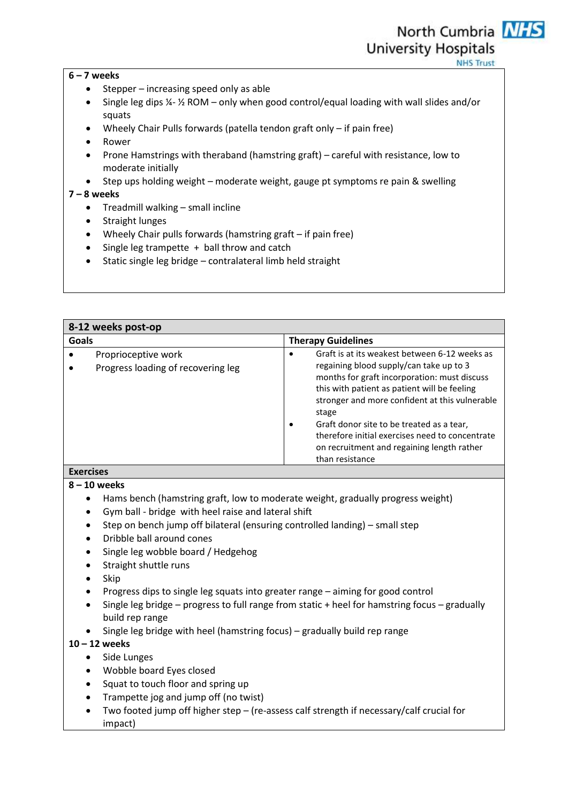### **6 – 7 weeks**

- $\bullet$  Stepper increasing speed only as able
- $\bullet$  Single leg dips  $\frac{1}{4}$   $\frac{1}{2}$  ROM only when good control/equal loading with wall slides and/or squats
- Wheely Chair Pulls forwards (patella tendon graft only if pain free)
- Rower
- Prone Hamstrings with theraband (hamstring graft) careful with resistance, low to moderate initially
- Step ups holding weight moderate weight, gauge pt symptoms re pain & swelling

### **7 – 8 weeks**

- $\bullet$  Treadmill walking small incline
- Straight lunges
- Wheely Chair pulls forwards (hamstring graft if pain free)
- Single leg trampette + ball throw and catch
- Static single leg bridge contralateral limb held straight

| 8-12 weeks post-op                                                              |                                                           |                                                                                                                                                                                                                                                                                                                                                                                                                                                |  |
|---------------------------------------------------------------------------------|-----------------------------------------------------------|------------------------------------------------------------------------------------------------------------------------------------------------------------------------------------------------------------------------------------------------------------------------------------------------------------------------------------------------------------------------------------------------------------------------------------------------|--|
| Goals                                                                           |                                                           | <b>Therapy Guidelines</b>                                                                                                                                                                                                                                                                                                                                                                                                                      |  |
|                                                                                 | Proprioceptive work<br>Progress loading of recovering leg | Graft is at its weakest between 6-12 weeks as<br>$\bullet$<br>regaining blood supply/can take up to 3<br>months for graft incorporation: must discuss<br>this with patient as patient will be feeling<br>stronger and more confident at this vulnerable<br>stage<br>Graft donor site to be treated as a tear,<br>$\bullet$<br>therefore initial exercises need to concentrate<br>on recruitment and regaining length rather<br>than resistance |  |
| <b>Exercises</b>                                                                |                                                           |                                                                                                                                                                                                                                                                                                                                                                                                                                                |  |
| $8 - 10$ weeks                                                                  |                                                           |                                                                                                                                                                                                                                                                                                                                                                                                                                                |  |
| Hams bench (hamstring graft, low to moderate weight, gradually progress weight) |                                                           |                                                                                                                                                                                                                                                                                                                                                                                                                                                |  |

- Gym ball bridge with heel raise and lateral shift
- Step on bench jump off bilateral (ensuring controlled landing) small step
- Dribble ball around cones
- Single leg wobble board / Hedgehog
- Straight shuttle runs
- $\bullet$  Skip
- Progress dips to single leg squats into greater range aiming for good control
- $\bullet$  Single leg bridge progress to full range from static + heel for hamstring focus gradually build rep range
- Single leg bridge with heel (hamstring focus) gradually build rep range

### **10 – 12 weeks**

- Side Lunges
- Wobble board Eyes closed
- Squat to touch floor and spring up
- Trampette jog and jump off (no twist)
- Two footed jump off higher step (re-assess calf strength if necessary/calf crucial for impact)



**University Hospitals** 

**NHS Trust**